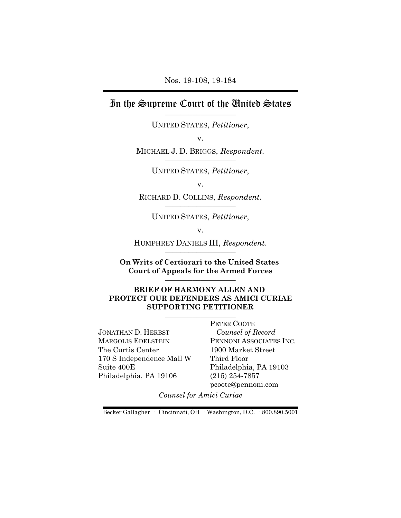Nos. 19-108, 19-184

# In the Supreme Court of the United States

UNITED STATES, *Petitioner*,

v.

MICHAEL J. D. BRIGGS, Respondent.

UNITED STATES, *Petitioner*,

v.

RICHARD D. COLLINS, *Respondent.* \_\_\_\_\_\_\_\_\_\_\_\_\_\_\_\_\_\_

UNITED STATES, *Petitioner*,

v.

HUMPHREY DANIELS III, Respondent.

**On Writs of Certiorari to the United States Court of Appeals for the Armed Forces** \_\_\_\_\_\_\_\_\_\_\_\_\_\_\_\_\_\_

#### **BRIEF OF HARMONY ALLEN AND PROTECT OUR DEFENDERS AS AMICI CURIAE SUPPORTING PETITIONER** \_\_\_\_\_\_\_\_\_\_\_\_\_\_\_\_\_\_

JONATHAN D. HERBST MARGOLIS EDELSTEIN The Curtis Center 170 S Independence Mall W Suite 400E Philadelphia, PA 19106

PETER COOTE *Counsel of Record* PENNONI ASSOCIATES INC. 1900 Market Street Third Floor Philadelphia, PA 19103 (215) 254-7857 pcoote@pennoni.com

*Counsel for Amici Curiae*

Becker Gallagher · Cincinnati, OH · Washington, D.C. · 800.890.5001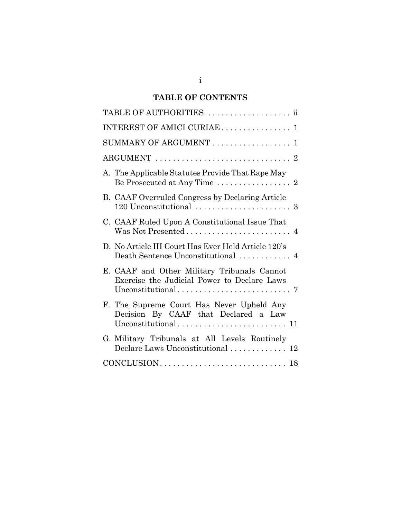# **TABLE OF CONTENTS**

| INTEREST OF AMICI CURIAE  1                                                                                            |
|------------------------------------------------------------------------------------------------------------------------|
| SUMMARY OF ARGUMENT  1                                                                                                 |
|                                                                                                                        |
| A. The Applicable Statutes Provide That Rape May<br>Be Prosecuted at Any Time $\ldots \ldots \ldots \ldots \ldots 2$   |
| B. CAAF Overruled Congress by Declaring Article                                                                        |
| C. CAAF Ruled Upon A Constitutional Issue That<br>Was Not Presented $\ldots \ldots \ldots \ldots \ldots \ldots \ldots$ |
| D. No Article III Court Has Ever Held Article 120's                                                                    |
| E. CAAF and Other Military Tribunals Cannot<br>Exercise the Judicial Power to Declare Laws                             |
| F. The Supreme Court Has Never Upheld Any<br>Decision By CAAF that Declared a Law                                      |
| G. Military Tribunals at All Levels Routinely<br>Declare Laws Unconstitutional  12                                     |
|                                                                                                                        |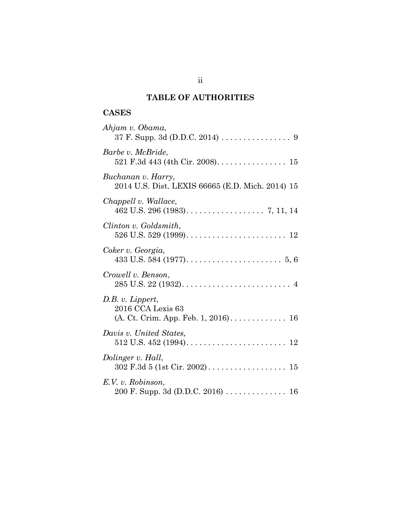## **TABLE OF AUTHORITIES**

## **CASES**

| Ahjam v. Obama,                                                                                                              |
|------------------------------------------------------------------------------------------------------------------------------|
| Barbe v. McBride,<br>521 F.3d 443 (4th Cir. 2008). $\dots \dots \dots \dots \dots \dots \dots \dots \dots \dots \dots \dots$ |
| Buchanan v. Harry,<br>2014 U.S. Dist. LEXIS 66665 (E.D. Mich. 2014) 15                                                       |
| Chappell v. Wallace,                                                                                                         |
| Clinton v. Goldsmith,                                                                                                        |
| Coker v. Georgia,                                                                                                            |
| Crowell v. Benson,                                                                                                           |
| D.B. v. Lippert,<br>2016 CCA Lexis 63                                                                                        |
| Davis v. United States,                                                                                                      |
| Dolinger v. Hall,                                                                                                            |
| E.V. v. Robinson,<br>200 F. Supp. 3d (D.D.C. 2016) 16                                                                        |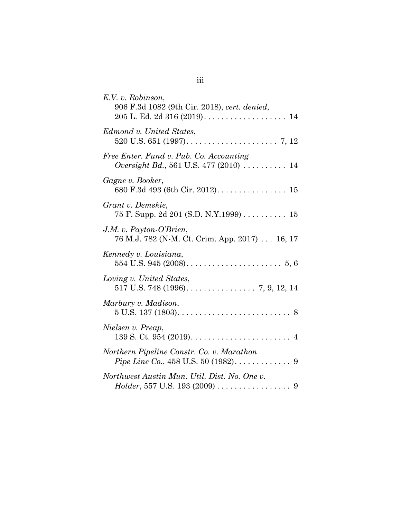| E.V. v. Robinson,                                                                                               |
|-----------------------------------------------------------------------------------------------------------------|
| 906 F.3d 1082 (9th Cir. 2018), cert. denied,                                                                    |
| Edmond v. United States,                                                                                        |
| Free Enter. Fund v. Pub. Co. Accounting<br><i>Oversight Bd.</i> , 561 U.S. 477 (2010) $\ldots \ldots \ldots 14$ |
| Gagne v. Booker,<br>680 F.3d 493 (6th Cir. 2012). 15                                                            |
| Grant v. Demskie,<br>75 F. Supp. 2d 201 (S.D. N.Y.1999) 15                                                      |
| J.M. v. Payton-O'Brien,<br>76 M.J. 782 (N-M. Ct. Crim. App. 2017) 16, 17                                        |
| Kennedy v. Louisiana,                                                                                           |
| Loving v. United States,                                                                                        |
| Marbury v. Madison,<br>$5 U.S. 137 (1803) \ldots \ldots \ldots \ldots \ldots \ldots \ldots \ldots \ldots 8$     |
| Nielsen v. Preap,                                                                                               |
| Northern Pipeline Constr. Co. v. Marathon                                                                       |
| Northwest Austin Mun. Util. Dist. No. One v.                                                                    |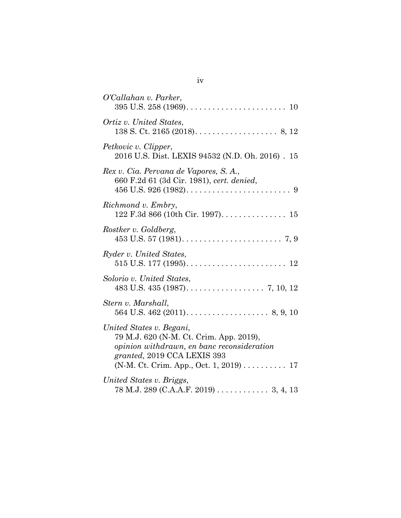| O'Callahan v. Parker,                                                                                                                                                                      |
|--------------------------------------------------------------------------------------------------------------------------------------------------------------------------------------------|
| Ortiz v. United States,                                                                                                                                                                    |
| Petkovic v. Clipper,<br>2016 U.S. Dist. LEXIS 94532 (N.D. Oh. 2016). 15                                                                                                                    |
| Rex v. Cia. Pervana de Vapores, S. A.,<br>660 F.2d 61 (3d Cir. 1981), cert. denied,                                                                                                        |
| Richmond v. Embry,                                                                                                                                                                         |
| Rostker v. Goldberg,                                                                                                                                                                       |
| Ryder v. United States,                                                                                                                                                                    |
| Solorio v. United States,                                                                                                                                                                  |
| Stern v. Marshall,                                                                                                                                                                         |
| United States v. Begani,<br>79 M.J. 620 (N-M. Ct. Crim. App. 2019),<br>opinion withdrawn, en banc reconsideration<br>granted, 2019 CCA LEXIS 393<br>(N-M. Ct. Crim. App., Oct. 1, 2019) 17 |
| United States v. Briggs,<br>78 M.J. 289 (C.A.A.F. 2019) 3, 4, 13                                                                                                                           |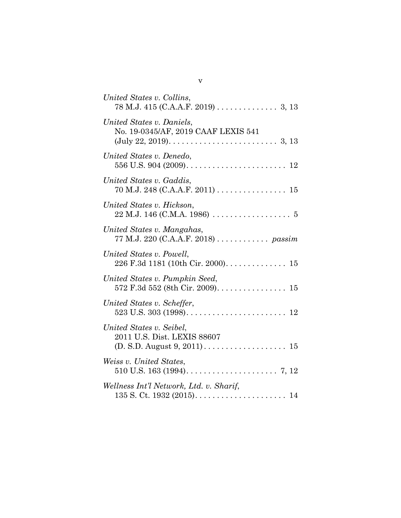| United States v. Collins,<br>$78$ M.J. 415 (C.A.A.F. 2019) 3, 13                                                                                                                 |
|----------------------------------------------------------------------------------------------------------------------------------------------------------------------------------|
| United States v. Daniels,<br>No. 19-0345/AF, 2019 CAAF LEXIS 541<br>$(\text{July } 22, 2019) \ldots \ldots \ldots \ldots \ldots \ldots \ldots \ldots \ldots \ldots \ldots 3, 13$ |
| United States v. Denedo,                                                                                                                                                         |
| United States v. Gaddis,<br>$70$ M.J. 248 (C.A.A.F. 2011) 15                                                                                                                     |
| United States v. Hickson,                                                                                                                                                        |
| United States v. Mangahas,<br>77 M.J. 220 (C.A.A.F. 2018) passim                                                                                                                 |
| United States v. Powell,<br>226 F.3d 1181 (10th Cir. 2000). 15                                                                                                                   |
| United States v. Pumpkin Seed,                                                                                                                                                   |
| United States v. Scheffer,                                                                                                                                                       |
| United States v. Seibel,<br>2011 U.S. Dist. LEXIS 88607                                                                                                                          |
| Weiss v. United States,                                                                                                                                                          |
| Wellness Int'l Network, Ltd. v. Sharif,                                                                                                                                          |
|                                                                                                                                                                                  |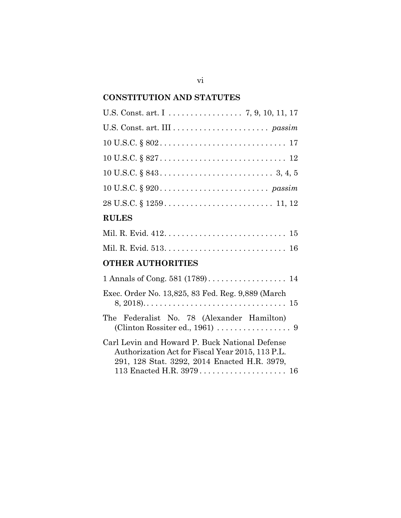## **CONSTITUTION AND STATUTES**

| U.S. Const. art. I 7, 9, 10, 11, 17                                                                                                                |
|----------------------------------------------------------------------------------------------------------------------------------------------------|
|                                                                                                                                                    |
|                                                                                                                                                    |
| $10 \text{ U.S.C.} \S 827 \ldots \ldots \ldots \ldots \ldots \ldots \ldots \ldots \ldots \ldots \ldots 12$                                         |
|                                                                                                                                                    |
|                                                                                                                                                    |
|                                                                                                                                                    |
| <b>RULES</b>                                                                                                                                       |
|                                                                                                                                                    |
|                                                                                                                                                    |
| <b>OTHER AUTHORITIES</b>                                                                                                                           |
| 1 Annals of Cong. 581 (1789) 14                                                                                                                    |
| Exec. Order No. 13,825, 83 Fed. Reg. 9,889 (March                                                                                                  |
| The Federalist No. 78 (Alexander Hamilton)                                                                                                         |
| Carl Levin and Howard P. Buck National Defense<br>Authorization Act for Fiscal Year 2015, 113 P.L.<br>291, 128 Stat. 3292, 2014 Enacted H.R. 3979, |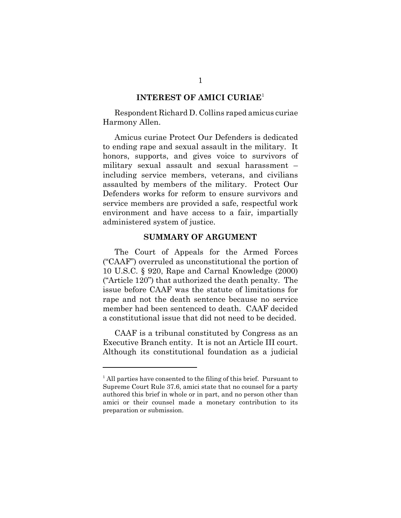#### **INTEREST OF AMICI CURIAE**<sup>1</sup>

Respondent Richard D. Collins raped amicus curiae Harmony Allen.

Amicus curiae Protect Our Defenders is dedicated to ending rape and sexual assault in the military. It honors, supports, and gives voice to survivors of military sexual assault and sexual harassment – including service members, veterans, and civilians assaulted by members of the military. Protect Our Defenders works for reform to ensure survivors and service members are provided a safe, respectful work environment and have access to a fair, impartially administered system of justice.

#### **SUMMARY OF ARGUMENT**

The Court of Appeals for the Armed Forces ("CAAF") overruled as unconstitutional the portion of 10 U.S.C. § 920, Rape and Carnal Knowledge (2000) ("Article 120") that authorized the death penalty. The issue before CAAF was the statute of limitations for rape and not the death sentence because no service member had been sentenced to death. CAAF decided a constitutional issue that did not need to be decided.

CAAF is a tribunal constituted by Congress as an Executive Branch entity. It is not an Article III court. Although its constitutional foundation as a judicial

<sup>&</sup>lt;sup>1</sup> All parties have consented to the filing of this brief. Pursuant to Supreme Court Rule 37.6, amici state that no counsel for a party authored this brief in whole or in part, and no person other than amici or their counsel made a monetary contribution to its preparation or submission.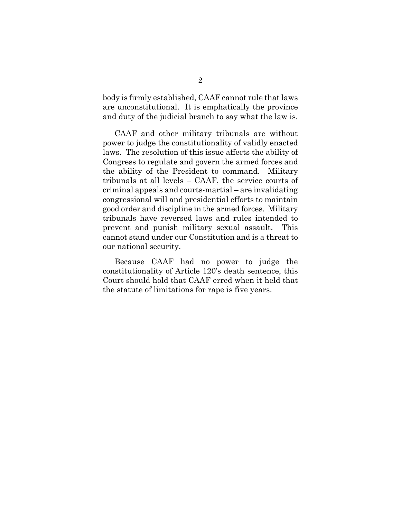body is firmly established, CAAF cannot rule that laws are unconstitutional. It is emphatically the province and duty of the judicial branch to say what the law is.

CAAF and other military tribunals are without power to judge the constitutionality of validly enacted laws. The resolution of this issue affects the ability of Congress to regulate and govern the armed forces and the ability of the President to command. Military tribunals at all levels – CAAF, the service courts of criminal appeals and courts-martial – are invalidating congressional will and presidential efforts to maintain good order and discipline in the armed forces. Military tribunals have reversed laws and rules intended to prevent and punish military sexual assault. This cannot stand under our Constitution and is a threat to our national security.

Because CAAF had no power to judge the constitutionality of Article 120's death sentence, this Court should hold that CAAF erred when it held that the statute of limitations for rape is five years.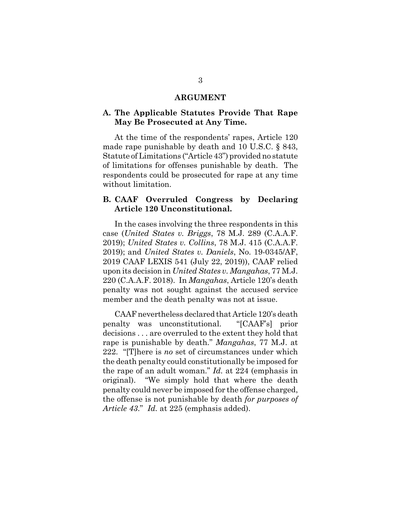#### **ARGUMENT**

#### **A. The Applicable Statutes Provide That Rape May Be Prosecuted at Any Time.**

At the time of the respondents' rapes, Article 120 made rape punishable by death and 10 U.S.C. § 843, Statute of Limitations ("Article 43") provided no statute of limitations for offenses punishable by death. The respondents could be prosecuted for rape at any time without limitation.

#### **B. CAAF Overruled Congress by Declaring Article 120 Unconstitutional.**

In the cases involving the three respondents in this case (*United States v. Briggs*, 78 M.J. 289 (C.A.A.F. 2019); *United States v. Collins*, 78 M.J. 415 (C.A.A.F. 2019); and *United States v. Daniels*, No. 19-0345/AF, 2019 CAAF LEXIS 541 (July 22, 2019)), CAAF relied upon its decision in *United States v. Mangahas*, 77 M.J. 220 (C.A.A.F. 2018). In *Mangahas*, Article 120's death penalty was not sought against the accused service member and the death penalty was not at issue.

CAAF nevertheless declared that Article 120's death penalty was unconstitutional. "[CAAF's] prior decisions . . . are overruled to the extent they hold that rape is punishable by death." *Mangahas*, 77 M.J. at 222. "[T]here is *no* set of circumstances under which the death penalty could constitutionally be imposed for the rape of an adult woman." *Id.* at 224 (emphasis in original). "We simply hold that where the death penalty could never be imposed for the offense charged, the offense is not punishable by death *for purposes of Article 43*." *Id.* at 225 (emphasis added).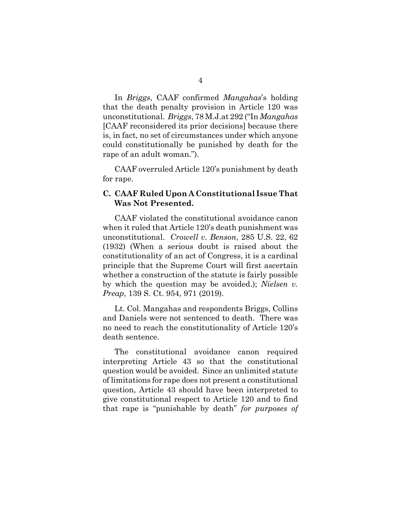In *Briggs*, CAAF confirmed *Mangahas*'s holding that the death penalty provision in Article 120 was unconstitutional. *Briggs*, 78 M.J.at 292 ("In *Mangahas* [CAAF reconsidered its prior decisions] because there is, in fact, no set of circumstances under which anyone could constitutionally be punished by death for the rape of an adult woman.").

CAAF overruled Article 120's punishment by death for rape.

### **C. CAAF Ruled Upon A Constitutional Issue That Was Not Presented.**

CAAF violated the constitutional avoidance canon when it ruled that Article 120's death punishment was unconstitutional. *Crowell v. Benson*, 285 U.S. 22, 62 (1932) (When a serious doubt is raised about the constitutionality of an act of Congress, it is a cardinal principle that the Supreme Court will first ascertain whether a construction of the statute is fairly possible by which the question may be avoided.); *Nielsen v. Preap*, 139 S. Ct. 954, 971 (2019).

Lt. Col. Mangahas and respondents Briggs, Collins and Daniels were not sentenced to death. There was no need to reach the constitutionality of Article 120's death sentence.

The constitutional avoidance canon required interpreting Article 43 so that the constitutional question would be avoided. Since an unlimited statute of limitations for rape does not present a constitutional question, Article 43 should have been interpreted to give constitutional respect to Article 120 and to find that rape is "punishable by death" *for purposes of*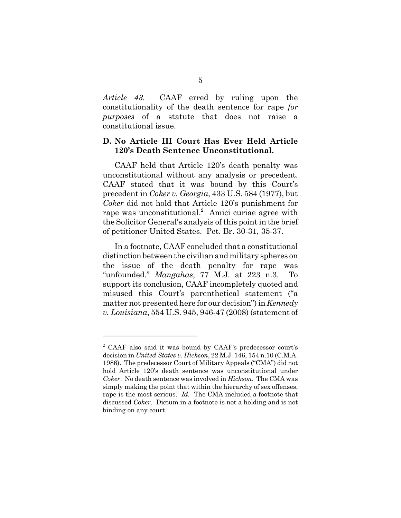*Article 43.* CAAF erred by ruling upon the constitutionality of the death sentence for rape *for purposes* of a statute that does not raise a constitutional issue.

### **D. No Article III Court Has Ever Held Article 120's Death Sentence Unconstitutional.**

CAAF held that Article 120's death penalty was unconstitutional without any analysis or precedent. CAAF stated that it was bound by this Court's precedent in *Coker v. Georgia*, 433 U.S. 584 (1977), but *Coker* did not hold that Article 120's punishment for rape was unconstitutional.<sup>2</sup> Amici curiae agree with the Solicitor General's analysis of this point in the brief of petitioner United States. Pet. Br. 30-31, 35-37.

In a footnote, CAAF concluded that a constitutional distinction between the civilian and military spheres on the issue of the death penalty for rape was "unfounded." *Mangahas*, 77 M.J. at 223 n.3. To support its conclusion, CAAF incompletely quoted and misused this Court's parenthetical statement ("a matter not presented here for our decision") in *Kennedy v. Louisiana*, 554 U.S. 945, 946-47 (2008) (statement of

<sup>&</sup>lt;sup>2</sup> CAAF also said it was bound by CAAF's predecessor court's decision in *United States v. Hickson*, 22 M.J. 146, 154 n.10 (C.M.A. 1986). The predecessor Court of Military Appeals ("CMA") did not hold Article 120's death sentence was unconstitutional under *Coker*. No death sentence was involved in *Hickson*. The CMA was simply making the point that within the hierarchy of sex offenses, rape is the most serious. *Id.* The CMA included a footnote that discussed *Coker*. Dictum in a footnote is not a holding and is not binding on any court.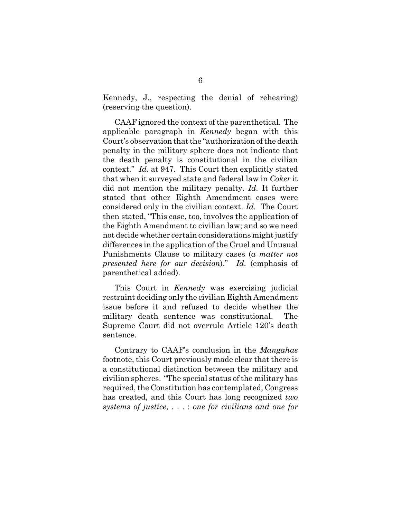Kennedy, J., respecting the denial of rehearing) (reserving the question).

CAAF ignored the context of the parenthetical. The applicable paragraph in *Kennedy* began with this Court's observation that the "authorization of the death penalty in the military sphere does not indicate that the death penalty is constitutional in the civilian context." *Id.* at 947. This Court then explicitly stated that when it surveyed state and federal law in *Coker* it did not mention the military penalty. *Id.* It further stated that other Eighth Amendment cases were considered only in the civilian context. *Id.* The Court then stated, "This case, too, involves the application of the Eighth Amendment to civilian law; and so we need not decide whether certain considerations might justify differences in the application of the Cruel and Unusual Punishments Clause to military cases (*a matter not presented here for our decision*)." *Id.* (emphasis of parenthetical added).

This Court in *Kennedy* was exercising judicial restraint deciding only the civilian Eighth Amendment issue before it and refused to decide whether the military death sentence was constitutional. The Supreme Court did not overrule Article 120's death sentence.

Contrary to CAAF's conclusion in the *Mangahas* footnote, this Court previously made clear that there is a constitutional distinction between the military and civilian spheres. "The special status of the military has required, the Constitution has contemplated, Congress has created, and this Court has long recognized *two systems of justice*, . . . : *one for civilians and one for*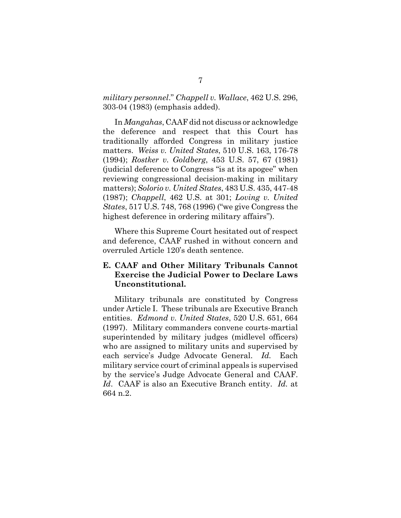*military personnel*." *Chappell v. Wallace*, 462 U.S. 296, 303-04 (1983) (emphasis added).

In *Mangahas*, CAAF did not discuss or acknowledge the deference and respect that this Court has traditionally afforded Congress in military justice matters. *Weiss v. United States*, 510 U.S. 163, 176-78 (1994); *Rostker v. Goldberg*, 453 U.S. 57, 67 (1981) (judicial deference to Congress "is at its apogee" when reviewing congressional decision-making in military matters); *Solorio v. United States*, 483 U.S. 435, 447-48 (1987); *Chappell*, 462 U.S. at 301; *Loving v. United States*, 517 U.S. 748, 768 (1996) ("we give Congress the highest deference in ordering military affairs").

Where this Supreme Court hesitated out of respect and deference, CAAF rushed in without concern and overruled Article 120's death sentence.

## **E. CAAF and Other Military Tribunals Cannot Exercise the Judicial Power to Declare Laws Unconstitutional.**

Military tribunals are constituted by Congress under Article I. These tribunals are Executive Branch entities. *Edmond v. United States*, 520 U.S. 651, 664 (1997). Military commanders convene courts-martial superintended by military judges (midlevel officers) who are assigned to military units and supervised by each service's Judge Advocate General. *Id.* Each military service court of criminal appeals is supervised by the service's Judge Advocate General and CAAF. *Id*. CAAF is also an Executive Branch entity. *Id.* at 664 n.2.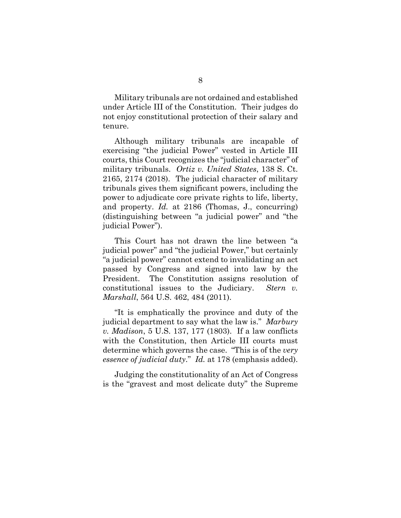Military tribunals are not ordained and established under Article III of the Constitution. Their judges do not enjoy constitutional protection of their salary and tenure.

Although military tribunals are incapable of exercising "the judicial Power" vested in Article III courts, this Court recognizes the "judicial character" of military tribunals. *Ortiz v. United States*, 138 S. Ct. 2165, 2174 (2018). The judicial character of military tribunals gives them significant powers, including the power to adjudicate core private rights to life, liberty, and property. *Id.* at 2186 (Thomas, J., concurring) (distinguishing between "a judicial power" and "the judicial Power").

This Court has not drawn the line between "a judicial power" and "the judicial Power," but certainly "a judicial power" cannot extend to invalidating an act passed by Congress and signed into law by the President. The Constitution assigns resolution of constitutional issues to the Judiciary. *Stern v. Marshall*, 564 U.S. 462, 484 (2011).

"It is emphatically the province and duty of the judicial department to say what the law is." *Marbury v. Madison*, 5 U.S. 137, 177 (1803). If a law conflicts with the Constitution, then Article III courts must determine which governs the case. "This is of the *very essence of judicial duty*." *Id.* at 178 (emphasis added).

Judging the constitutionality of an Act of Congress is the "gravest and most delicate duty" the Supreme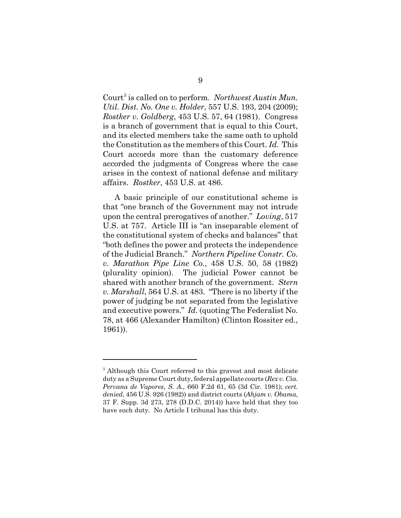Court<sup>3</sup> is called on to perform. Northwest Austin Mun. *Util. Dist. No. One v. Holder*, 557 U.S. 193, 204 (2009); *Rostker v. Goldberg*, 453 U.S. 57, 64 (1981). Congress is a branch of government that is equal to this Court, and its elected members take the same oath to uphold the Constitution as the members of this Court. *Id.* This Court accords more than the customary deference accorded the judgments of Congress where the case arises in the context of national defense and military affairs. *Rostker*, 453 U.S. at 486.

A basic principle of our constitutional scheme is that "one branch of the Government may not intrude upon the central prerogatives of another." *Loving*, 517 U.S. at 757. Article III is "an inseparable element of the constitutional system of checks and balances" that "both defines the power and protects the independence of the Judicial Branch." *Northern Pipeline Constr. Co. v. Marathon Pipe Line Co.*, 458 U.S. 50, 58 (1982) (plurality opinion). The judicial Power cannot be shared with another branch of the government. *Stern v. Marshall*, 564 U.S. at 483. "There is no liberty if the power of judging be not separated from the legislative and executive powers." *Id.* (quoting The Federalist No. 78, at 466 (Alexander Hamilton) (Clinton Rossiter ed., 1961)).

<sup>&</sup>lt;sup>3</sup> Although this Court referred to this gravest and most delicate duty as a Supreme Court duty, federal appellate courts (*Rex v. Cia. Pervana de Vapores*, *S. A.,* 660 F.2d 61, 65 (3d Cir. 1981); *cert. denied*, 456 U.S. 926 (1982)) and district courts (*Ahjam v. Obama*, 37 F. Supp. 3d 273, 278 (D.D.C. 2014)) have held that they too have such duty. No Article I tribunal has this duty.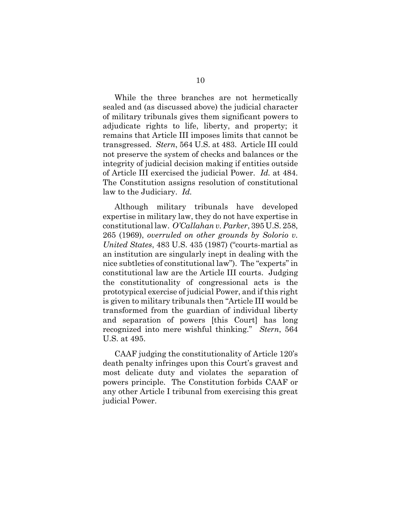While the three branches are not hermetically sealed and (as discussed above) the judicial character of military tribunals gives them significant powers to adjudicate rights to life, liberty, and property; it remains that Article III imposes limits that cannot be transgressed. *Stern*, 564 U.S. at 483. Article III could not preserve the system of checks and balances or the integrity of judicial decision making if entities outside of Article III exercised the judicial Power. *Id.* at 484. The Constitution assigns resolution of constitutional law to the Judiciary. *Id.*

Although military tribunals have developed expertise in military law, they do not have expertise in constitutional law. *O'Callahan v. Parker*, 395 U.S. 258, 265 (1969), *overruled on other grounds by Solorio v. United States*, 483 U.S. 435 (1987) ("courts-martial as an institution are singularly inept in dealing with the nice subtleties of constitutional law"). The "experts" in constitutional law are the Article III courts. Judging the constitutionality of congressional acts is the prototypical exercise of judicial Power, and if this right is given to military tribunals then "Article III would be transformed from the guardian of individual liberty and separation of powers [this Court] has long recognized into mere wishful thinking." *Stern*, 564 U.S. at 495.

CAAF judging the constitutionality of Article 120's death penalty infringes upon this Court's gravest and most delicate duty and violates the separation of powers principle. The Constitution forbids CAAF or any other Article I tribunal from exercising this great judicial Power.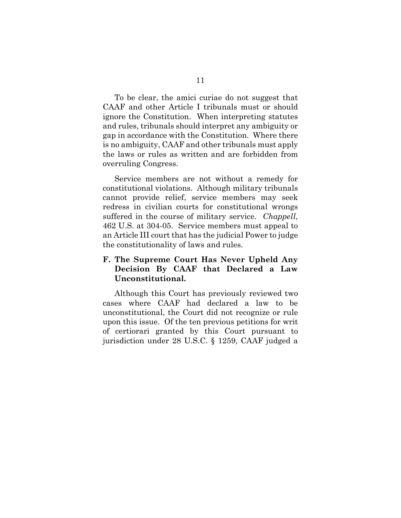To be clear, the amici curiae do not suggest that CAAF and other Article I tribunals must or should ignore the Constitution. When interpreting statutes and rules, tribunals should interpret any ambiguity or gap in accordance with the Constitution. Where there is no ambiguity, CAAF and other tribunals must apply the laws or rules as written and are forbidden from overruling Congress.

Service members are not without a remedy for constitutional violations. Although military tribunals cannot provide relief, service members may seek redress in civilian courts for constitutional wrongs suffered in the course of military service. *Chappell*, 462 U.S. at 304-05. Service members must appeal to an Article III court that has the judicial Power to judge the constitutionality of laws and rules.

### **F. The Supreme Court Has Never Upheld Any Decision By CAAF that Declared a Law Unconstitutional.**

Although this Court has previously reviewed two cases where CAAF had declared a law to be unconstitutional, the Court did not recognize or rule upon this issue. Of the ten previous petitions for writ of certiorari granted by this Court pursuant to jurisdiction under 28 U.S.C. § 1259, CAAF judged a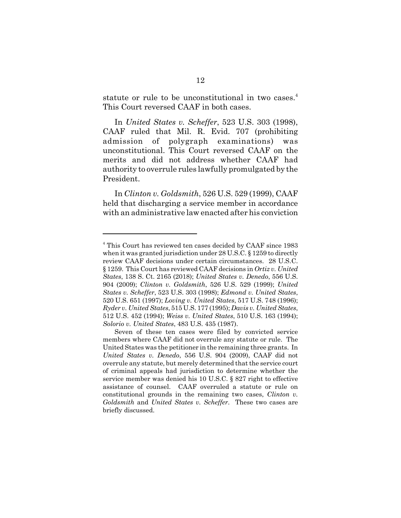statute or rule to be unconstitutional in two cases.<sup>4</sup> This Court reversed CAAF in both cases.

In *United States v. Scheffer*, 523 U.S. 303 (1998), CAAF ruled that Mil. R. Evid. 707 (prohibiting admission of polygraph examinations) was unconstitutional. This Court reversed CAAF on the merits and did not address whether CAAF had authority to overrule rules lawfully promulgated by the President.

In *Clinton v. Goldsmith*, 526 U.S. 529 (1999), CAAF held that discharging a service member in accordance with an administrative law enacted after his conviction

<sup>&</sup>lt;sup>4</sup> This Court has reviewed ten cases decided by CAAF since 1983 when it was granted jurisdiction under 28 U.S.C. § 1259 to directly review CAAF decisions under certain circumstances. 28 U.S.C. § 1259. This Court has reviewed CAAF decisions in *Ortiz v. United States*, 138 S. Ct. 2165 (2018); *United States v. Denedo*, 556 U.S. 904 (2009); *Clinton v. Goldsmith*, 526 U.S. 529 (1999); *United States v. Scheffer*, 523 U.S. 303 (1998); *Edmond v. United States*, 520 U.S. 651 (1997); *Loving v. United States*, 517 U.S. 748 (1996); *Ryder v. United States*, 515 U.S. 177 (1995); *Davis v. United States*, 512 U.S. 452 (1994); *Weiss v. United States*, 510 U.S. 163 (1994); *Solorio v. United States*, 483 U.S. 435 (1987).

Seven of these ten cases were filed by convicted service members where CAAF did not overrule any statute or rule. The United States was the petitioner in the remaining three grants. In *United States v. Denedo*, 556 U.S. 904 (2009), CAAF did not overrule any statute, but merely determined that the service court of criminal appeals had jurisdiction to determine whether the service member was denied his 10 U.S.C. § 827 right to effective assistance of counsel. CAAF overruled a statute or rule on constitutional grounds in the remaining two cases, *Clinton v. Goldsmith* and *United States v. Scheffer*. These two cases are briefly discussed.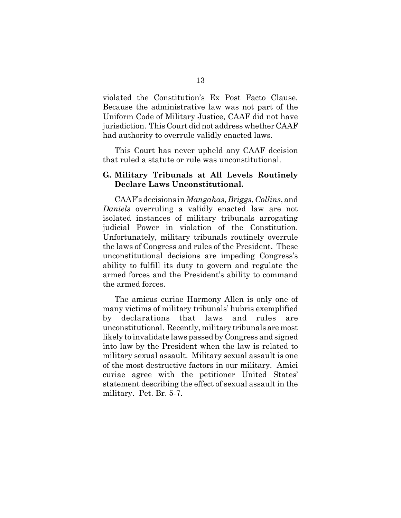violated the Constitution's Ex Post Facto Clause. Because the administrative law was not part of the Uniform Code of Military Justice, CAAF did not have jurisdiction. This Court did not address whether CAAF had authority to overrule validly enacted laws.

This Court has never upheld any CAAF decision that ruled a statute or rule was unconstitutional.

#### **G. Military Tribunals at All Levels Routinely Declare Laws Unconstitutional.**

CAAF's decisions in *Mangahas*, *Briggs*, *Collins*, and *Daniels* overruling a validly enacted law are not isolated instances of military tribunals arrogating judicial Power in violation of the Constitution. Unfortunately, military tribunals routinely overrule the laws of Congress and rules of the President. These unconstitutional decisions are impeding Congress's ability to fulfill its duty to govern and regulate the armed forces and the President's ability to command the armed forces.

The amicus curiae Harmony Allen is only one of many victims of military tribunals' hubris exemplified by declarations that laws and rules are unconstitutional. Recently, military tribunals are most likely to invalidate laws passed by Congress and signed into law by the President when the law is related to military sexual assault. Military sexual assault is one of the most destructive factors in our military. Amici curiae agree with the petitioner United States' statement describing the effect of sexual assault in the military. Pet. Br. 5-7.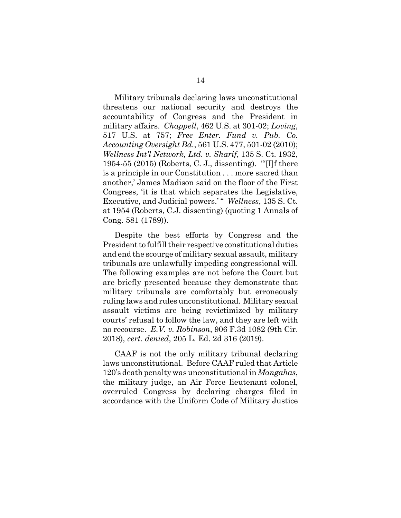Military tribunals declaring laws unconstitutional threatens our national security and destroys the accountability of Congress and the President in military affairs. *Chappell*, 462 U.S. at 301-02; *Loving*, 517 U.S. at 757; *Free Enter. Fund v. Pub. Co. Accounting Oversight Bd.*, 561 U.S. 477, 501-02 (2010); *Wellness Int'l Network, Ltd. v. Sharif*, 135 S. Ct. 1932, 1954-55 (2015) (Roberts, C. J., dissenting). "'[I]f there is a principle in our Constitution . . . more sacred than another,' James Madison said on the floor of the First Congress, 'it is that which separates the Legislative, Executive, and Judicial powers.' " *Wellness*, 135 S. Ct. at 1954 (Roberts, C.J. dissenting) (quoting 1 Annals of Cong. 581 (1789)).

Despite the best efforts by Congress and the President to fulfill their respective constitutional duties and end the scourge of military sexual assault, military tribunals are unlawfully impeding congressional will. The following examples are not before the Court but are briefly presented because they demonstrate that military tribunals are comfortably but erroneously ruling laws and rules unconstitutional. Military sexual assault victims are being revictimized by military courts' refusal to follow the law, and they are left with no recourse. *E.V. v. Robinson*, 906 F.3d 1082 (9th Cir. 2018), *cert. denied*, 205 L. Ed. 2d 316 (2019).

CAAF is not the only military tribunal declaring laws unconstitutional. Before CAAF ruled that Article 120's death penalty was unconstitutional in *Mangahas*, the military judge, an Air Force lieutenant colonel, overruled Congress by declaring charges filed in accordance with the Uniform Code of Military Justice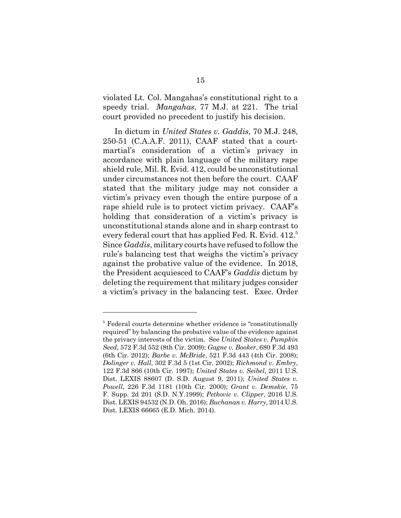violated Lt. Col. Mangahas's constitutional right to a speedy trial. *Mangahas*, 77 M.J. at 221. The trial court provided no precedent to justify his decision.

In dictum in *United States v. Gaddis*, 70 M.J. 248, 250-51 (C.A.A.F. 2011), CAAF stated that a courtmartial's consideration of a victim's privacy in accordance with plain language of the military rape shield rule, Mil. R. Evid. 412, could be unconstitutional under circumstances not then before the court. CAAF stated that the military judge may not consider a victim's privacy even though the entire purpose of a rape shield rule is to protect victim privacy. CAAF's holding that consideration of a victim's privacy is unconstitutional stands alone and in sharp contrast to every federal court that has applied Fed. R. Evid. 412.<sup>5</sup> Since *Gaddis*, military courts have refused to follow the rule's balancing test that weighs the victim's privacy against the probative value of the evidence. In 2018, the President acquiesced to CAAF's *Gaddis* dictum by deleting the requirement that military judges consider a victim's privacy in the balancing test. Exec. Order

<sup>&</sup>lt;sup>5</sup> Federal courts determine whether evidence is "constitutionally required" by balancing the probative value of the evidence against the privacy interests of the victim. See *United States v. Pumpkin Seed*, 572 F.3d 552 (8th Cir. 2009); *Gagne v. Booker*, 680 F.3d 493 (6th Cir. 2012); *Barbe v. McBride*, 521 F.3d 443 (4th Cir. 2008); *Dolinger v. Hall*, 302 F.3d 5 (1st Cir. 2002); *Richmond v. Embry*, 122 F.3d 866 (10th Cir. 1997); *United States v. Seibel*, 2011 U.S. Dist. LEXIS 88607 (D. S.D. August 9, 2011); *United States v. Powell*, 226 F.3d 1181 (10th Cir. 2000); *Grant v. Demskie*, 75 F. Supp. 2d 201 (S.D. N.Y.1999); *Petkovic v. Clipper*, 2016 U.S. Dist. LEXIS 94532 (N.D. Oh. 2016); *Buchanan v. Harry*, 2014 U.S. Dist. LEXIS 66665 (E.D. Mich. 2014).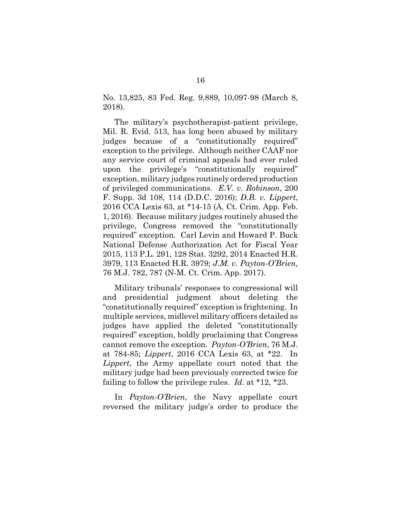No. 13,825, 83 Fed. Reg. 9,889, 10,097-98 (March 8, 2018).

The military's psychotherapist-patient privilege, Mil. R. Evid. 513, has long been abused by military judges because of a "constitutionally required" exception to the privilege. Although neither CAAF nor any service court of criminal appeals had ever ruled upon the privilege's "constitutionally required" exception, military judges routinely ordered production of privileged communications. *E.V. v. Robinson*, 200 F. Supp. 3d 108, 114 (D.D.C. 2016); *D.B. v. Lippert*, 2016 CCA Lexis 63, at \*14-15 (A. Ct. Crim. App. Feb. 1, 2016). Because military judges routinely abused the privilege, Congress removed the "constitutionally required" exception. Carl Levin and Howard P. Buck National Defense Authorization Act for Fiscal Year 2015, 113 P.L. 291, 128 Stat. 3292, 2014 Enacted H.R. 3979, 113 Enacted H.R. 3979; *J.M. v. Payton-O'Brien*, 76 M.J. 782, 787 (N-M. Ct. Crim. App. 2017).

Military tribunals' responses to congressional will and presidential judgment about deleting the "constitutionally required" exception is frightening. In multiple services, midlevel military officers detailed as judges have applied the deleted "constitutionally required" exception, boldly proclaiming that Congress cannot remove the exception. *Payton-O'Brien*, 76 M.J. at 784-85; *Lippert*, 2016 CCA Lexis 63, at \*22. In *Lippert*, the Army appellate court noted that the military judge had been previously corrected twice for failing to follow the privilege rules. *Id.* at \*12, \*23.

In *Payton-O'Brien*, the Navy appellate court reversed the military judge's order to produce the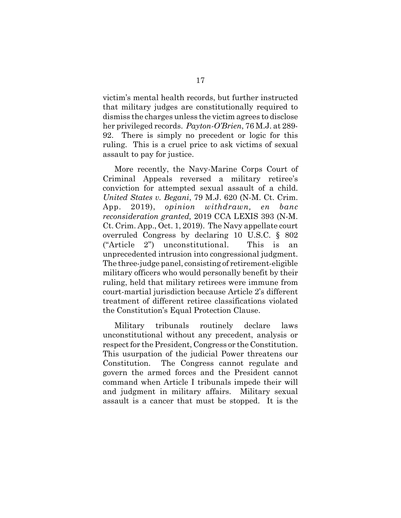victim's mental health records, but further instructed that military judges are constitutionally required to dismiss the charges unless the victim agrees to disclose her privileged records. *Payton-O'Brien*, 76 M.J. at 289- 92. There is simply no precedent or logic for this ruling. This is a cruel price to ask victims of sexual assault to pay for justice.

More recently, the Navy-Marine Corps Court of Criminal Appeals reversed a military retiree's conviction for attempted sexual assault of a child. *United States v. Begani*, 79 M.J. 620 (N-M. Ct. Crim. App. 2019), *opinion withdrawn, en banc reconsideration granted,* 2019 CCA LEXIS 393 (N-M. Ct. Crim. App., Oct. 1, 2019). The Navy appellate court overruled Congress by declaring 10 U.S.C. § 802 ("Article 2") unconstitutional. This is an unprecedented intrusion into congressional judgment. The three-judge panel, consisting of retirement-eligible military officers who would personally benefit by their ruling, held that military retirees were immune from court-martial jurisdiction because Article 2's different treatment of different retiree classifications violated the Constitution's Equal Protection Clause.

Military tribunals routinely declare laws unconstitutional without any precedent, analysis or respect for the President, Congress or the Constitution. This usurpation of the judicial Power threatens our Constitution. The Congress cannot regulate and govern the armed forces and the President cannot command when Article I tribunals impede their will and judgment in military affairs. Military sexual assault is a cancer that must be stopped. It is the